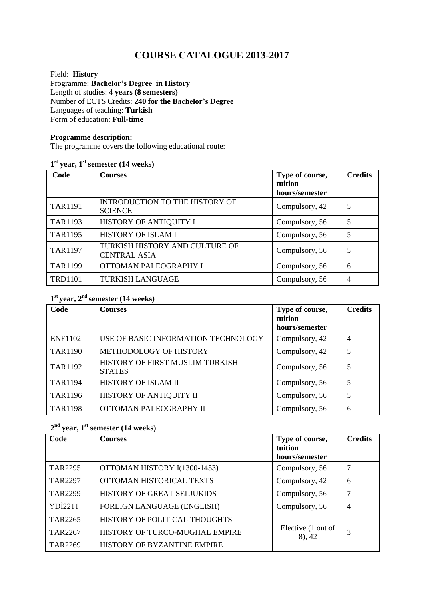# **COURSE CATALOGUE 2013-2017**

Field: **History** Programme: **Bachelor's Degree in History** Length of studies: **4 years (8 semesters)**  Number of ECTS Credits: **240 for the Bachelor's Degree** Languages of teaching: **Turkish** Form of education: **Full-time** 

#### **Programme description:**

The programme covers the following educational route:

#### **1 st year, 1st semester (14 weeks)**

| Code           | <b>Courses</b>                                          | Type of course,<br><b>fuition</b> | <b>Credits</b> |
|----------------|---------------------------------------------------------|-----------------------------------|----------------|
|                |                                                         | hours/semester                    |                |
| <b>TAR1191</b> | <b>INTRODUCTION TO THE HISTORY OF</b><br><b>SCIENCE</b> | Compulsory, 42                    | 5              |
| <b>TAR1193</b> | HISTORY OF ANTIQUITY I                                  | Compulsory, 56                    | 5              |
| <b>TAR1195</b> | <b>HISTORY OF ISLAM I</b>                               | Compulsory, 56                    | 5              |
| <b>TAR1197</b> | TURKISH HISTORY AND CULTURE OF<br><b>CENTRAL ASIA</b>   | Compulsory, 56                    | 5              |
| <b>TAR1199</b> | OTTOMAN PALEOGRAPHY I                                   | Compulsory, 56                    | 6              |
| <b>TRD1101</b> | <b>TURKISH LANGUAGE</b>                                 | Compulsory, 56                    | $\overline{4}$ |

#### **1 st year, 2nd semester (14 weeks)**

| Code           | <b>Courses</b>                                   | Type of course,<br>tuition<br>hours/semester | <b>Credits</b> |
|----------------|--------------------------------------------------|----------------------------------------------|----------------|
| <b>ENF1102</b> | USE OF BASIC INFORMATION TECHNOLOGY              | Compulsory, 42                               | $\overline{4}$ |
| <b>TAR1190</b> | METHODOLOGY OF HISTORY                           | Compulsory, 42                               | 5              |
| <b>TAR1192</b> | HISTORY OF FIRST MUSLIM TURKISH<br><b>STATES</b> | Compulsory, 56                               | 5              |
| <b>TAR1194</b> | HISTORY OF ISLAM II                              | Compulsory, 56                               | 5              |
| <b>TAR1196</b> | HISTORY OF ANTIQUITY II                          | Compulsory, 56                               | 5              |
| <b>TAR1198</b> | OTTOMAN PALEOGRAPHY II                           | Compulsory, 56                               | 6              |

## **2 nd year, 1st semester (14 weeks)**

| Code           | <b>Courses</b>                 | Type of course,<br>tuition   | <b>Credits</b> |
|----------------|--------------------------------|------------------------------|----------------|
|                |                                | hours/semester               |                |
| TAR2295        | OTTOMAN HISTORY I(1300-1453)   | Compulsory, 56               | 7              |
| <b>TAR2297</b> | OTTOMAN HISTORICAL TEXTS       | Compulsory, 42               | 6              |
| <b>TAR2299</b> | HISTORY OF GREAT SELJUKIDS     | Compulsory, 56               | 7              |
| <b>YDİ2211</b> | FOREIGN LANGUAGE (ENGLISH)     | Compulsory, 56               | $\overline{4}$ |
| <b>TAR2265</b> | HISTORY OF POLITICAL THOUGHTS  |                              |                |
| <b>TAR2267</b> | HISTORY OF TURCO-MUGHAL EMPIRE | Elective (1 out of<br>8), 42 | 3              |
| <b>TAR2269</b> | HISTORY OF BYZANTINE EMPIRE    |                              |                |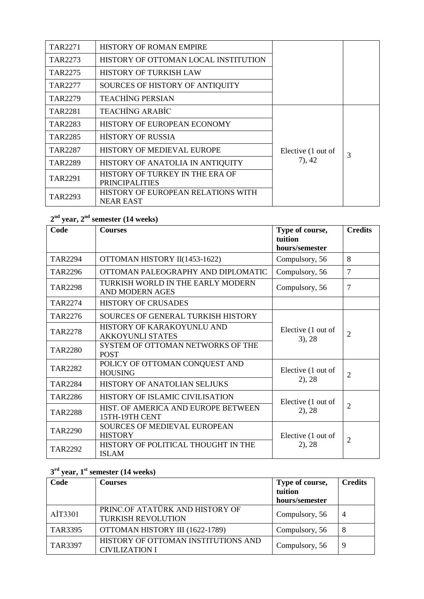| TAR2271        | <b>HISTORY OF ROMAN EMPIRE</b>       |                    |   |
|----------------|--------------------------------------|--------------------|---|
| TAR2273        | HISTORY OF OTTOMAN LOCAL INSTITUTION |                    |   |
| TAR2275        | HISTORY OF TURKISH LAW               |                    |   |
| TAR2277        | SOURCES OF HISTORY OF ANTIQUITY      |                    |   |
| TAR2279        | <b>TEACHING PERSIAN</b>              |                    |   |
| TAR2281        | <b>TEACHING ARABIC</b>               |                    |   |
| TAR2283        | HISTORY OF EUROPEAN ECONOMY          |                    |   |
| <b>TAR2285</b> | <b>HİSTORY OF RUSSIA</b>             |                    | 3 |
| TAR2287        | HISTORY OF MEDIEVAL EUROPE           | Elective (1 out of |   |
| TAR2289        | HISTORY OF ANATOLIA IN ANTIQUITY     | (7), 42            |   |
| TAR2291        | HISTORY OF TURKEY IN THE ERA OF      |                    |   |
|                | <b>PRINCIPALITIES</b>                |                    |   |
| TAR2293        | HISTORY OF EUROPEAN RELATIONS WITH   |                    |   |
|                | NEAR EAST                            |                    |   |

## **2 nd year, 2 nd semester (14 weeks)**

| Code           | <b>Courses</b>                                              | Type of course,<br>tuition<br>hours/semester | <b>Credits</b> |
|----------------|-------------------------------------------------------------|----------------------------------------------|----------------|
| TAR2294        | OTTOMAN HISTORY II(1453-1622)                               | Compulsory, 56                               | 8              |
| <b>TAR2296</b> | OTTOMAN PALEOGRAPHY AND DIPLOMATIC                          | Compulsory, 56                               | $\overline{7}$ |
| <b>TAR2298</b> | TURKISH WORLD IN THE EARLY MODERN<br><b>AND MODERN AGES</b> | Compulsory, 56                               | 7              |
| TAR2274        | <b>HISTORY OF CRUSADES</b>                                  |                                              |                |
| TAR2276        | SOURCES OF GENERAL TURKISH HISTORY                          |                                              |                |
| <b>TAR2278</b> | HISTORY OF KARAKOYUNLU AND<br><b>AKKOYUNLI STATES</b>       | Elective (1 out of<br>$3)$ , 28              | $\overline{2}$ |
| <b>TAR2280</b> | SYSTEM OF OTTOMAN NETWORKS OF THE<br><b>POST</b>            |                                              |                |
| <b>TAR2282</b> | POLICY OF OTTOMAN CONQUEST AND<br><b>HOUSING</b>            | Elective (1 out of                           | $\overline{2}$ |
| <b>TAR2284</b> | HISTORY OF ANATOLIAN SELJUKS                                | $2)$ , 28                                    |                |
| <b>TAR2286</b> | HISTORY OF ISLAMIC CIVILISATION                             | Elective (1 out of                           |                |
| <b>TAR2288</b> | HIST. OF AMERICA AND EUROPE BETWEEN<br>15TH-19TH CENT       | $2)$ , 28                                    | $\overline{2}$ |
| <b>TAR2290</b> | SOURCES OF MEDIEVAL EUROPEAN<br><b>HISTORY</b>              | Elective (1 out of                           | $\overline{2}$ |
| <b>TAR2292</b> | HISTORY OF POLITICAL THOUGHT IN THE<br><b>ISLAM</b>         | $2)$ , 28                                    |                |

## **3 rd year, 1 st semester (14 weeks)**

| Code           | <b>Courses</b>                                               | Type of course, | <b>Credits</b> |
|----------------|--------------------------------------------------------------|-----------------|----------------|
|                |                                                              | tuition         |                |
|                |                                                              | hours/semester  |                |
| AİT3301        | PRINC.OF ATATÜRK AND HISTORY OF<br><b>TURKISH REVOLUTION</b> | Compulsory, 56  | $\overline{4}$ |
| <b>TAR3395</b> | OTTOMAN HISTORY III (1622-1789)                              | Compulsory, 56  | 8              |
| <b>TAR3397</b> | HISTORY OF OTTOMAN INSTITUTIONS AND<br><b>CIVILIZATION I</b> | Compulsory, 56  | 9              |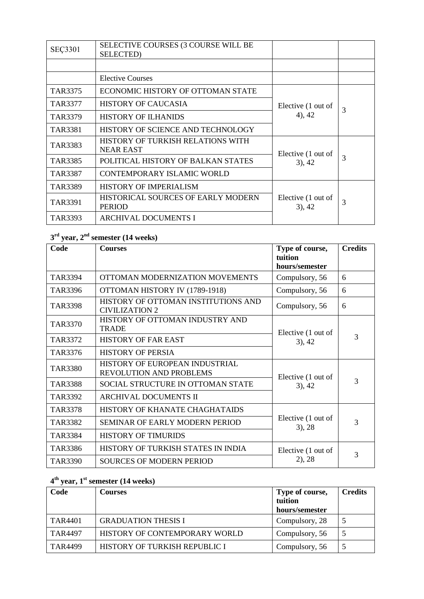| <b>SEÇ3301</b> | SELECTIVE COURSES (3 COURSE WILL BE<br><b>SELECTED</b> ) |                                 |   |
|----------------|----------------------------------------------------------|---------------------------------|---|
|                |                                                          |                                 |   |
|                | Elective Courses                                         |                                 |   |
| TAR3375        | ECONOMIC HISTORY OF OTTOMAN STATE                        |                                 |   |
| TAR3377        | HISTORY OF CAUCASIA                                      | Elective (1 out of              | 3 |
| TAR3379        | <b>HISTORY OF ILHANIDS</b>                               | 4), 42                          |   |
| TAR3381        | HISTORY OF SCIENCE AND TECHNOLOGY                        |                                 |   |
| TAR3383        | HISTORY OF TURKISH RELATIONS WITH<br><b>NEAR EAST</b>    | Elective (1 out of              |   |
| TAR3385        | POLITICAL HISTORY OF BALKAN STATES                       | $3)$ , 42                       | 3 |
| TAR3387        | CONTEMPORARY ISLAMIC WORLD                               |                                 |   |
| TAR3389        | <b>HISTORY OF IMPERIALISM</b>                            |                                 |   |
| TAR3391        | HISTORICAL SOURCES OF EARLY MODERN<br><b>PERIOD</b>      | Elective (1 out of<br>$3)$ , 42 | 3 |
| TAR3393        | <b>ARCHIVAL DOCUMENTS I</b>                              |                                 |   |

## **3 rd year, 2 nd semester (14 weeks)**

| Code           | <b>Courses</b>                                                   | Type of course,<br>tuition<br>hours/semester | <b>Credits</b> |
|----------------|------------------------------------------------------------------|----------------------------------------------|----------------|
| <b>TAR3394</b> | OTTOMAN MODERNIZATION MOVEMENTS                                  | Compulsory, 56                               | 6              |
| TAR3396        | OTTOMAN HISTORY IV (1789-1918)                                   | Compulsory, 56                               | 6              |
| <b>TAR3398</b> | HISTORY OF OTTOMAN INSTITUTIONS AND<br><b>CIVILIZATION 2</b>     | Compulsory, 56                               | 6              |
| <b>TAR3370</b> | HISTORY OF OTTOMAN INDUSTRY AND<br><b>TRADE</b>                  | Elective (1 out of                           |                |
| TAR3372        | <b>HISTORY OF FAR EAST</b>                                       | $3)$ , 42                                    | 3              |
| TAR3376        | <b>HISTORY OF PERSIA</b>                                         |                                              |                |
| <b>TAR3380</b> | HISTORY OF EUROPEAN INDUSTRIAL<br><b>REVOLUTION AND PROBLEMS</b> | Elective (1 out of                           | 3              |
| <b>TAR3388</b> | SOCIAL STRUCTURE IN OTTOMAN STATE                                | $3)$ , 42                                    |                |
| TAR3392        | ARCHIVAL DOCUMENTS II                                            |                                              |                |
| <b>TAR3378</b> | HISTORY OF KHANATE CHAGHATAIDS                                   |                                              |                |
| <b>TAR3382</b> | <b>SEMINAR OF EARLY MODERN PERIOD</b>                            | Elective (1 out of<br>$3)$ , 28              | 3              |
| <b>TAR3384</b> | <b>HISTORY OF TIMURIDS</b>                                       |                                              |                |
| TAR3386        | HISTORY OF TURKISH STATES IN INDIA                               | Elective (1 out of                           | 3              |
| <b>TAR3390</b> | SOURCES OF MODERN PERIOD                                         | $2)$ , 28                                    |                |

## **4 th year, 1 st semester (14 weeks)**

| Code           | <b>Courses</b>                | Type of course,<br>tuition | <b>Credits</b> |
|----------------|-------------------------------|----------------------------|----------------|
|                |                               | hours/semester             |                |
| TAR4401        | <b>GRADUATION THESIS I</b>    | Compulsory, 28             | 5              |
| <b>TAR4497</b> | HISTORY OF CONTEMPORARY WORLD | Compulsory, 56             |                |
| TAR4499        | HISTORY OF TURKISH REPUBLIC I | Compulsory, 56             | 5              |